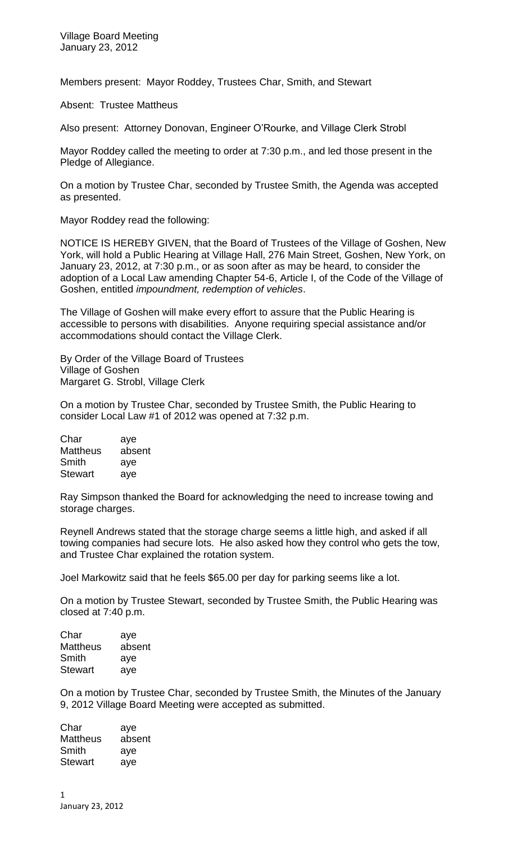Members present: Mayor Roddey, Trustees Char, Smith, and Stewart

Absent: Trustee Mattheus

Also present: Attorney Donovan, Engineer O'Rourke, and Village Clerk Strobl

Mayor Roddey called the meeting to order at 7:30 p.m., and led those present in the Pledge of Allegiance.

On a motion by Trustee Char, seconded by Trustee Smith, the Agenda was accepted as presented.

Mayor Roddey read the following:

NOTICE IS HEREBY GIVEN, that the Board of Trustees of the Village of Goshen, New York, will hold a Public Hearing at Village Hall, 276 Main Street, Goshen, New York, on January 23, 2012, at 7:30 p.m., or as soon after as may be heard, to consider the adoption of a Local Law amending Chapter 54-6, Article I, of the Code of the Village of Goshen, entitled *impoundment, redemption of vehicles*.

The Village of Goshen will make every effort to assure that the Public Hearing is accessible to persons with disabilities. Anyone requiring special assistance and/or accommodations should contact the Village Clerk.

By Order of the Village Board of Trustees Village of Goshen Margaret G. Strobl, Village Clerk

On a motion by Trustee Char, seconded by Trustee Smith, the Public Hearing to consider Local Law #1 of 2012 was opened at 7:32 p.m.

Char aye Mattheus absent Smith aye Stewart aye

Ray Simpson thanked the Board for acknowledging the need to increase towing and storage charges.

Reynell Andrews stated that the storage charge seems a little high, and asked if all towing companies had secure lots. He also asked how they control who gets the tow, and Trustee Char explained the rotation system.

Joel Markowitz said that he feels \$65.00 per day for parking seems like a lot.

On a motion by Trustee Stewart, seconded by Trustee Smith, the Public Hearing was closed at 7:40 p.m.

Char aye Mattheus absent Smith aye Stewart aye

On a motion by Trustee Char, seconded by Trustee Smith, the Minutes of the January 9, 2012 Village Board Meeting were accepted as submitted.

Char aye Mattheus absent Smith aye Stewart aye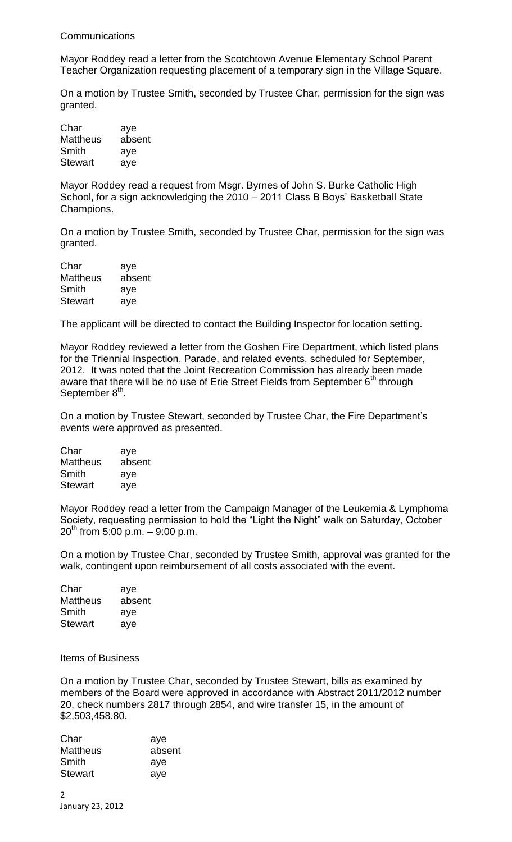## Communications

Mayor Roddey read a letter from the Scotchtown Avenue Elementary School Parent Teacher Organization requesting placement of a temporary sign in the Village Square.

On a motion by Trustee Smith, seconded by Trustee Char, permission for the sign was granted.

| Char            | aye    |
|-----------------|--------|
| <b>Mattheus</b> | absent |
| Smith           | aye    |
| <b>Stewart</b>  | aye    |

Mayor Roddey read a request from Msgr. Byrnes of John S. Burke Catholic High School, for a sign acknowledging the 2010 – 2011 Class B Boys' Basketball State Champions.

On a motion by Trustee Smith, seconded by Trustee Char, permission for the sign was granted.

| Char            | aye    |
|-----------------|--------|
| <b>Mattheus</b> | absent |
| Smith           | aye    |
| <b>Stewart</b>  | aye    |

The applicant will be directed to contact the Building Inspector for location setting.

Mayor Roddey reviewed a letter from the Goshen Fire Department, which listed plans for the Triennial Inspection, Parade, and related events, scheduled for September, 2012. It was noted that the Joint Recreation Commission has already been made aware that there will be no use of Erie Street Fields from September  $6<sup>th</sup>$  through September 8<sup>th</sup>.

On a motion by Trustee Stewart, seconded by Trustee Char, the Fire Department's events were approved as presented.

| Char            | aye    |
|-----------------|--------|
| <b>Mattheus</b> | absent |
| Smith           | aye    |
| <b>Stewart</b>  | aye    |

Mayor Roddey read a letter from the Campaign Manager of the Leukemia & Lymphoma Society, requesting permission to hold the "Light the Night" walk on Saturday, October  $20^{th}$  from 5:00 p.m.  $-$  9:00 p.m.

On a motion by Trustee Char, seconded by Trustee Smith, approval was granted for the walk, contingent upon reimbursement of all costs associated with the event.

| Char           | aye    |
|----------------|--------|
| Mattheus       | absent |
| Smith          | aye    |
| <b>Stewart</b> | aye    |

Items of Business

On a motion by Trustee Char, seconded by Trustee Stewart, bills as examined by members of the Board were approved in accordance with Abstract 2011/2012 number 20, check numbers 2817 through 2854, and wire transfer 15, in the amount of \$2,503,458.80.

| aye    |
|--------|
| absent |
| aye    |
| aye    |
|        |

2 January 23, 2012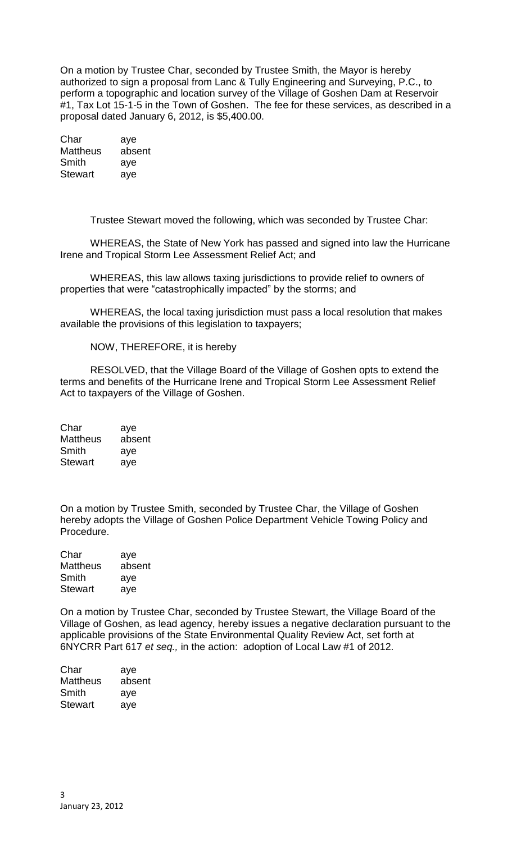On a motion by Trustee Char, seconded by Trustee Smith, the Mayor is hereby authorized to sign a proposal from Lanc & Tully Engineering and Surveying, P.C., to perform a topographic and location survey of the Village of Goshen Dam at Reservoir #1, Tax Lot 15-1-5 in the Town of Goshen. The fee for these services, as described in a proposal dated January 6, 2012, is \$5,400.00.

Char aye Mattheus absent Smith aye Stewart aye

Trustee Stewart moved the following, which was seconded by Trustee Char:

WHEREAS, the State of New York has passed and signed into law the Hurricane Irene and Tropical Storm Lee Assessment Relief Act; and

WHEREAS, this law allows taxing jurisdictions to provide relief to owners of properties that were "catastrophically impacted" by the storms; and

WHEREAS, the local taxing jurisdiction must pass a local resolution that makes available the provisions of this legislation to taxpayers;

NOW, THEREFORE, it is hereby

RESOLVED, that the Village Board of the Village of Goshen opts to extend the terms and benefits of the Hurricane Irene and Tropical Storm Lee Assessment Relief Act to taxpayers of the Village of Goshen.

| aye    |
|--------|
| absent |
| aye    |
| aye    |
|        |

On a motion by Trustee Smith, seconded by Trustee Char, the Village of Goshen hereby adopts the Village of Goshen Police Department Vehicle Towing Policy and Procedure.

| Char            | aye    |
|-----------------|--------|
| <b>Mattheus</b> | absent |
| Smith           | aye    |
| <b>Stewart</b>  | aye    |

On a motion by Trustee Char, seconded by Trustee Stewart, the Village Board of the Village of Goshen, as lead agency, hereby issues a negative declaration pursuant to the applicable provisions of the State Environmental Quality Review Act, set forth at 6NYCRR Part 617 *et seq.,* in the action: adoption of Local Law #1 of 2012.

| Char           | aye    |
|----------------|--------|
| Mattheus       | absent |
| Smith          | aye    |
| <b>Stewart</b> | ave    |